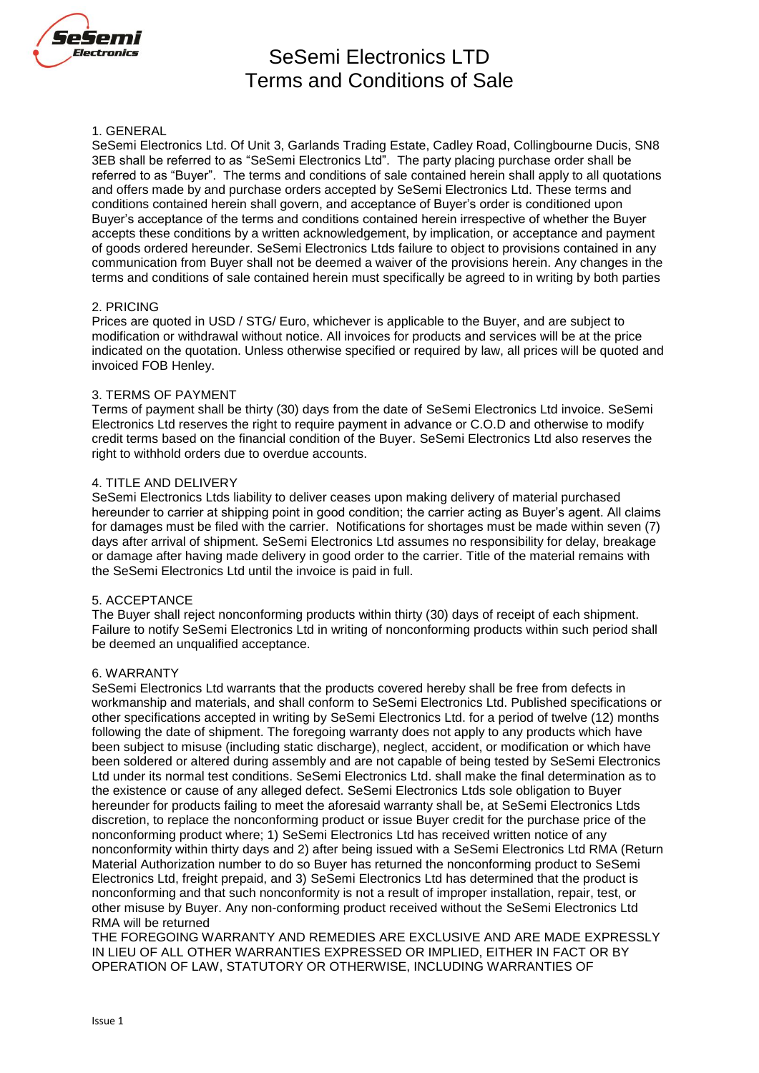

# SeSemi Electronics LTD Terms and Conditions of Sale

## 1. GENERAL

SeSemi Electronics Ltd. Of Unit 3, Garlands Trading Estate, Cadley Road, Collingbourne Ducis, SN8 3EB shall be referred to as "SeSemi Electronics Ltd". The party placing purchase order shall be referred to as "Buyer". The terms and conditions of sale contained herein shall apply to all quotations and offers made by and purchase orders accepted by SeSemi Electronics Ltd. These terms and conditions contained herein shall govern, and acceptance of Buyer's order is conditioned upon Buyer's acceptance of the terms and conditions contained herein irrespective of whether the Buyer accepts these conditions by a written acknowledgement, by implication, or acceptance and payment of goods ordered hereunder. SeSemi Electronics Ltds failure to object to provisions contained in any communication from Buyer shall not be deemed a waiver of the provisions herein. Any changes in the terms and conditions of sale contained herein must specifically be agreed to in writing by both parties

### 2. PRICING

Prices are quoted in USD / STG/ Euro, whichever is applicable to the Buyer, and are subject to modification or withdrawal without notice. All invoices for products and services will be at the price indicated on the quotation. Unless otherwise specified or required by law, all prices will be quoted and invoiced FOB Henley.

# 3. TERMS OF PAYMENT

Terms of payment shall be thirty (30) days from the date of SeSemi Electronics Ltd invoice. SeSemi Electronics Ltd reserves the right to require payment in advance or C.O.D and otherwise to modify credit terms based on the financial condition of the Buyer. SeSemi Electronics Ltd also reserves the right to withhold orders due to overdue accounts.

# 4. TITLE AND DELIVERY

SeSemi Electronics Ltds liability to deliver ceases upon making delivery of material purchased hereunder to carrier at shipping point in good condition; the carrier acting as Buyer's agent. All claims for damages must be filed with the carrier. Notifications for shortages must be made within seven (7) days after arrival of shipment. SeSemi Electronics Ltd assumes no responsibility for delay, breakage or damage after having made delivery in good order to the carrier. Title of the material remains with the SeSemi Electronics Ltd until the invoice is paid in full.

# 5. ACCEPTANCE

The Buyer shall reject nonconforming products within thirty (30) days of receipt of each shipment. Failure to notify SeSemi Electronics Ltd in writing of nonconforming products within such period shall be deemed an unqualified acceptance.

# 6. WARRANTY

SeSemi Electronics Ltd warrants that the products covered hereby shall be free from defects in workmanship and materials, and shall conform to SeSemi Electronics Ltd. Published specifications or other specifications accepted in writing by SeSemi Electronics Ltd. for a period of twelve (12) months following the date of shipment. The foregoing warranty does not apply to any products which have been subject to misuse (including static discharge), neglect, accident, or modification or which have been soldered or altered during assembly and are not capable of being tested by SeSemi Electronics Ltd under its normal test conditions. SeSemi Electronics Ltd. shall make the final determination as to the existence or cause of any alleged defect. SeSemi Electronics Ltds sole obligation to Buyer hereunder for products failing to meet the aforesaid warranty shall be, at SeSemi Electronics Ltds discretion, to replace the nonconforming product or issue Buyer credit for the purchase price of the nonconforming product where; 1) SeSemi Electronics Ltd has received written notice of any nonconformity within thirty days and 2) after being issued with a SeSemi Electronics Ltd RMA (Return Material Authorization number to do so Buyer has returned the nonconforming product to SeSemi Electronics Ltd, freight prepaid, and 3) SeSemi Electronics Ltd has determined that the product is nonconforming and that such nonconformity is not a result of improper installation, repair, test, or other misuse by Buyer. Any non-conforming product received without the SeSemi Electronics Ltd RMA will be returned

THE FOREGOING WARRANTY AND REMEDIES ARE EXCLUSIVE AND ARE MADE EXPRESSLY IN LIEU OF ALL OTHER WARRANTIES EXPRESSED OR IMPLIED, EITHER IN FACT OR BY OPERATION OF LAW, STATUTORY OR OTHERWISE, INCLUDING WARRANTIES OF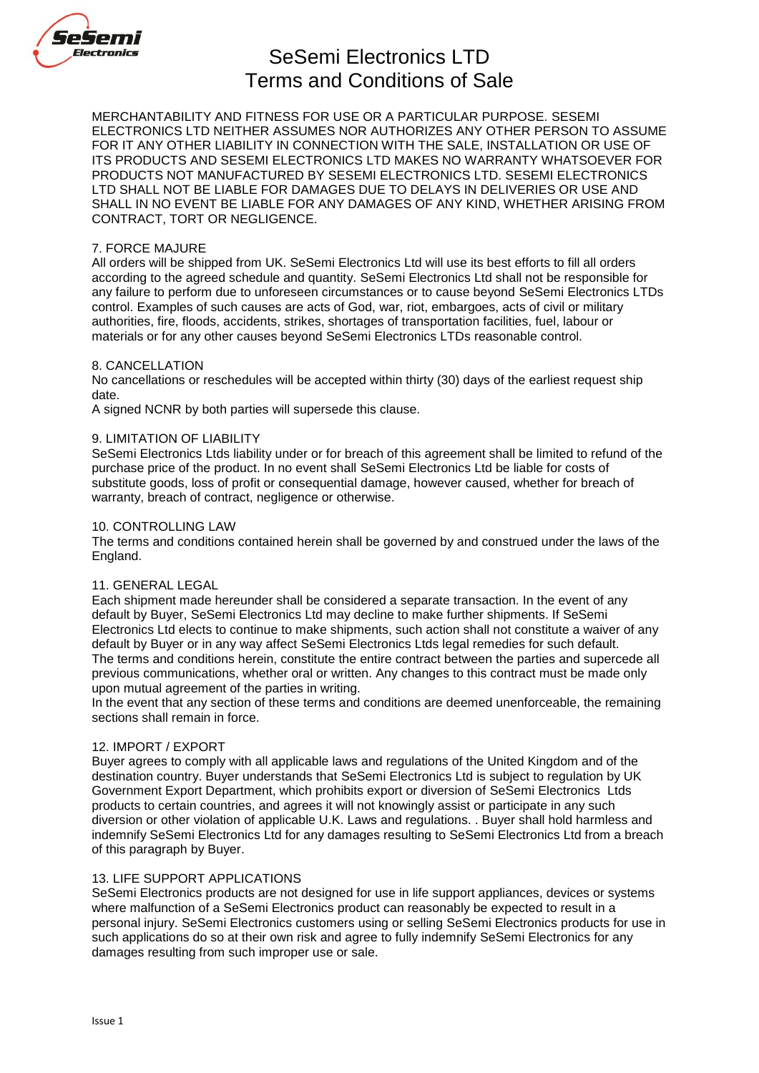

# SeSemi Electronics LTD Terms and Conditions of Sale

MERCHANTABILITY AND FITNESS FOR USE OR A PARTICULAR PURPOSE. SESEMI ELECTRONICS LTD NEITHER ASSUMES NOR AUTHORIZES ANY OTHER PERSON TO ASSUME FOR IT ANY OTHER LIABILITY IN CONNECTION WITH THE SALE, INSTALLATION OR USE OF ITS PRODUCTS AND SESEMI ELECTRONICS LTD MAKES NO WARRANTY WHATSOEVER FOR PRODUCTS NOT MANUFACTURED BY SESEMI ELECTRONICS LTD. SESEMI ELECTRONICS LTD SHALL NOT BE LIABLE FOR DAMAGES DUE TO DELAYS IN DELIVERIES OR USE AND SHALL IN NO EVENT BE LIABLE FOR ANY DAMAGES OF ANY KIND, WHETHER ARISING FROM CONTRACT, TORT OR NEGLIGENCE.

## 7. FORCE MAJURE

All orders will be shipped from UK. SeSemi Electronics Ltd will use its best efforts to fill all orders according to the agreed schedule and quantity. SeSemi Electronics Ltd shall not be responsible for any failure to perform due to unforeseen circumstances or to cause beyond SeSemi Electronics LTDs control. Examples of such causes are acts of God, war, riot, embargoes, acts of civil or military authorities, fire, floods, accidents, strikes, shortages of transportation facilities, fuel, labour or materials or for any other causes beyond SeSemi Electronics LTDs reasonable control.

# 8. CANCELLATION

No cancellations or reschedules will be accepted within thirty (30) days of the earliest request ship date.

A signed NCNR by both parties will supersede this clause.

### 9. LIMITATION OF LIABILITY

SeSemi Electronics Ltds liability under or for breach of this agreement shall be limited to refund of the purchase price of the product. In no event shall SeSemi Electronics Ltd be liable for costs of substitute goods, loss of profit or consequential damage, however caused, whether for breach of warranty, breach of contract, negligence or otherwise.

### 10. CONTROLLING LAW

The terms and conditions contained herein shall be governed by and construed under the laws of the England.

### 11. GENERAL LEGAL

Each shipment made hereunder shall be considered a separate transaction. In the event of any default by Buyer, SeSemi Electronics Ltd may decline to make further shipments. If SeSemi Electronics Ltd elects to continue to make shipments, such action shall not constitute a waiver of any default by Buyer or in any way affect SeSemi Electronics Ltds legal remedies for such default. The terms and conditions herein, constitute the entire contract between the parties and supercede all previous communications, whether oral or written. Any changes to this contract must be made only upon mutual agreement of the parties in writing.

In the event that any section of these terms and conditions are deemed unenforceable, the remaining sections shall remain in force.

### 12. IMPORT / EXPORT

Buyer agrees to comply with all applicable laws and regulations of the United Kingdom and of the destination country. Buyer understands that SeSemi Electronics Ltd is subject to regulation by UK Government Export Department, which prohibits export or diversion of SeSemi Electronics Ltds products to certain countries, and agrees it will not knowingly assist or participate in any such diversion or other violation of applicable U.K. Laws and regulations. . Buyer shall hold harmless and indemnify SeSemi Electronics Ltd for any damages resulting to SeSemi Electronics Ltd from a breach of this paragraph by Buyer.

# 13. LIFE SUPPORT APPLICATIONS

SeSemi Electronics products are not designed for use in life support appliances, devices or systems where malfunction of a SeSemi Electronics product can reasonably be expected to result in a personal injury. SeSemi Electronics customers using or selling SeSemi Electronics products for use in such applications do so at their own risk and agree to fully indemnify SeSemi Electronics for any damages resulting from such improper use or sale.